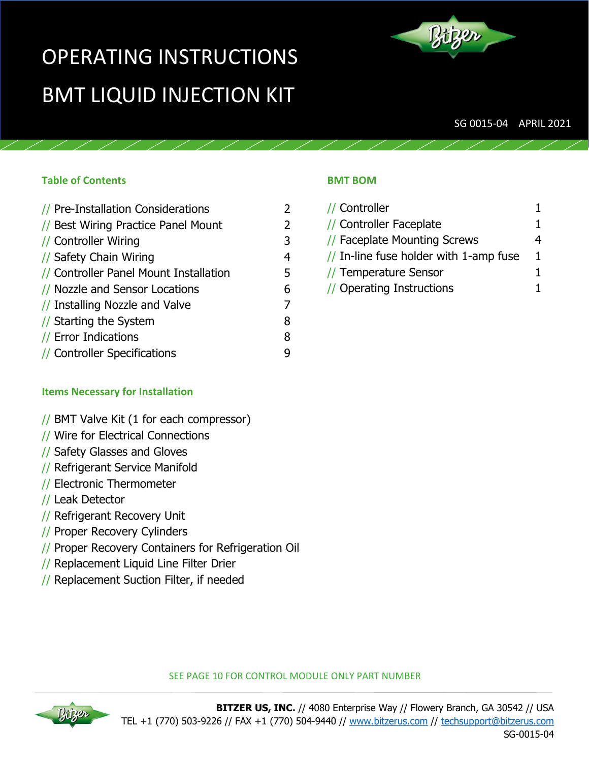# OPERATING INSTRUCTIONS BMT LIQUID INJECTION KIT



SG 0015-04 APRIL 2021

#### **Table of Contents**

| // Pre-Installation Considerations     |   |
|----------------------------------------|---|
| // Best Wiring Practice Panel Mount    | 2 |
| // Controller Wiring                   | 3 |
| // Safety Chain Wiring                 | 4 |
| // Controller Panel Mount Installation | 5 |
| // Nozzle and Sensor Locations         | 6 |
| // Installing Nozzle and Valve         |   |
| // Starting the System                 | 8 |
| // Error Indications                   | 8 |
| // Controller Specifications           |   |
|                                        |   |

#### **BMT BOM**

| // Controller                                     |   |
|---------------------------------------------------|---|
| // Controller Faceplate                           | 1 |
| // Faceplate Mounting Screws                      | 4 |
| $\frac{1}{2}$ In-line fuse holder with 1-amp fuse | 1 |
| // Temperature Sensor                             | 1 |
| // Operating Instructions                         | 1 |

#### **Items Necessary for Installation**

#### // BMT Valve Kit (1 for each compressor)

- // Wire for Electrical Connections
- // Safety Glasses and Gloves
- // Refrigerant Service Manifold
- // Electronic Thermometer
- // Leak Detector
- // Refrigerant Recovery Unit
- // Proper Recovery Cylinders
- // Proper Recovery Containers for Refrigeration Oil
- // Replacement Liquid Line Filter Drier
- // Replacement Suction Filter, if needed



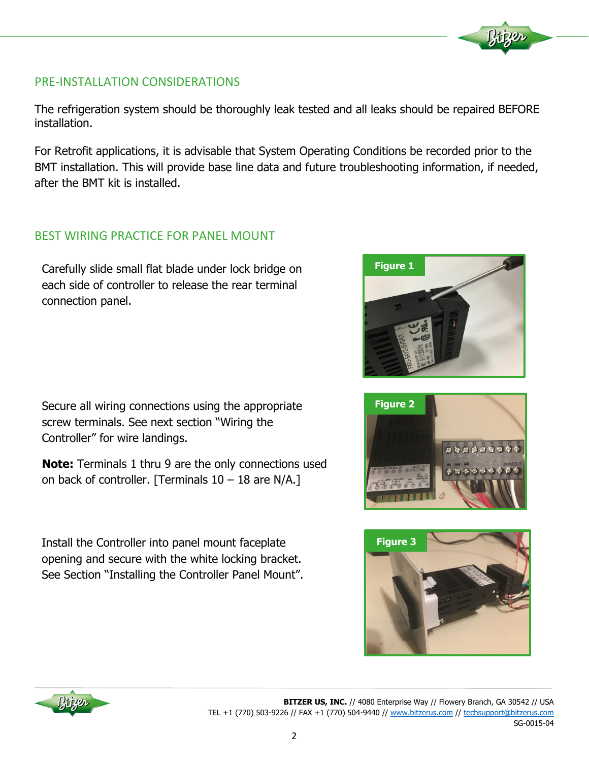# PRE-INSTALLATION CONSIDERATIONS

The refrigeration system should be thoroughly leak tested and all leaks should be repaired BEFORE installation.

For Retrofit applications, it is advisable that System Operating Conditions be recorded prior to the BMT installation. This will provide base line data and future troubleshooting information, if needed, after the BMT kit is installed.

## BEST WIRING PRACTICE FOR PANEL MOUNT

Carefully slide small flat blade under lock bridge on each side of controller to release the rear terminal connection panel.

Secure all wiring connections using the appropriate screw terminals. See next section "Wiring the Controller" for wire landings.

**Note:** Terminals 1 thru 9 are the only connections used on back of controller. [Terminals  $10 - 18$  are N/A.]

Install the Controller into panel mount faceplate opening and secure with the white locking bracket. See Section "Installing the Controller Panel Mount".









**BITZER US, INC.** // 4080 Enterprise Way // Flowery Branch, GA 30542 // USA TEL +1 (770) 503-9226 // FAX +1 (770) 504-9440 // [www.bitzerus.com](http://www.bitzerus.com/) // [techsupport@bitzerus.com](mailto:techsupport@bitzerus.com) SG-0015-04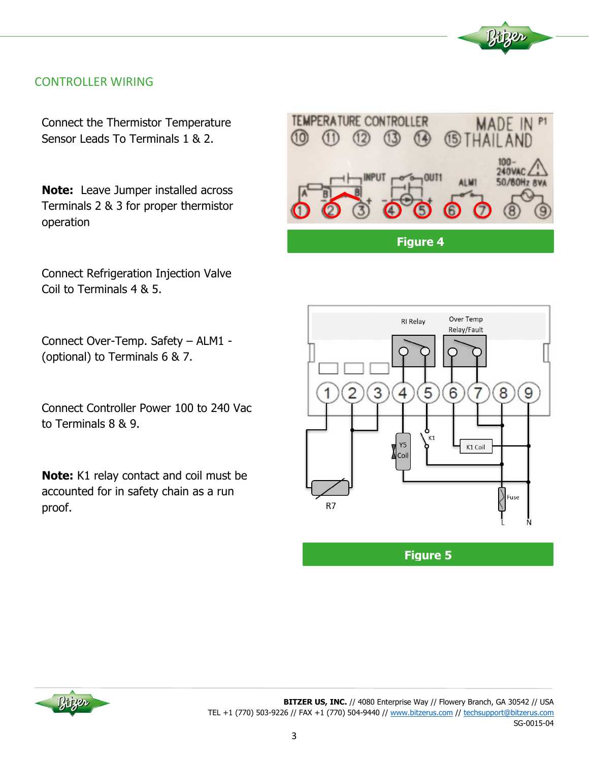## CONTROLLER WIRING

Connect the Thermistor Temperature Sensor Leads To Terminals 1 & 2.

**Note:** Leave Jumper installed across Terminals 2 & 3 for proper thermistor operation

Connect Refrigeration Injection Valve Coil to Terminals 4 & 5.

Connect Over-Temp. Safety – ALM1 - (optional) to Terminals 6 & 7.

Connect Controller Power 100 to 240 Vac to Terminals 8 & 9.

**Note:** K1 relay contact and coil must be accounted for in safety chain as a run proof.





**Figure 5**



**BITZER US, INC.** // 4080 Enterprise Way // Flowery Branch, GA 30542 // USA TEL +1 (770) 503-9226 // FAX +1 (770) 504-9440 // [www.bitzerus.com](http://www.bitzerus.com/) // [techsupport@bitzerus.com](mailto:techsupport@bitzerus.com) SG-0015-04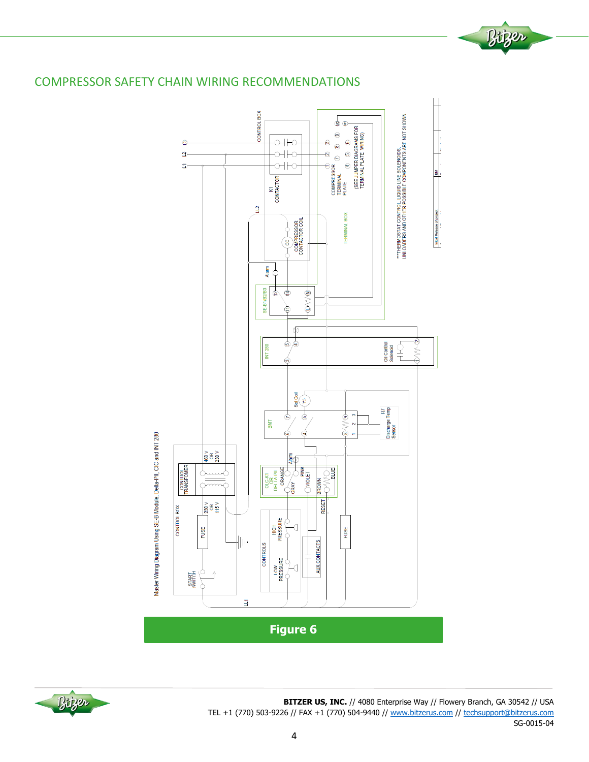

# COMPRESSOR SAFETY CHAIN WIRING RECOMMENDATIONS



**BITZER US, INC.** // 4080 Enterprise Way // Flowery Branch, GA 30542 // USA TEL +1 (770) 503-9226 // FAX +1 (770) 504-9440 // [www.bitzerus.com](http://www.bitzerus.com/) // [techsupport@bitzerus.com](mailto:techsupport@bitzerus.com) SG-0015-04

Bitzer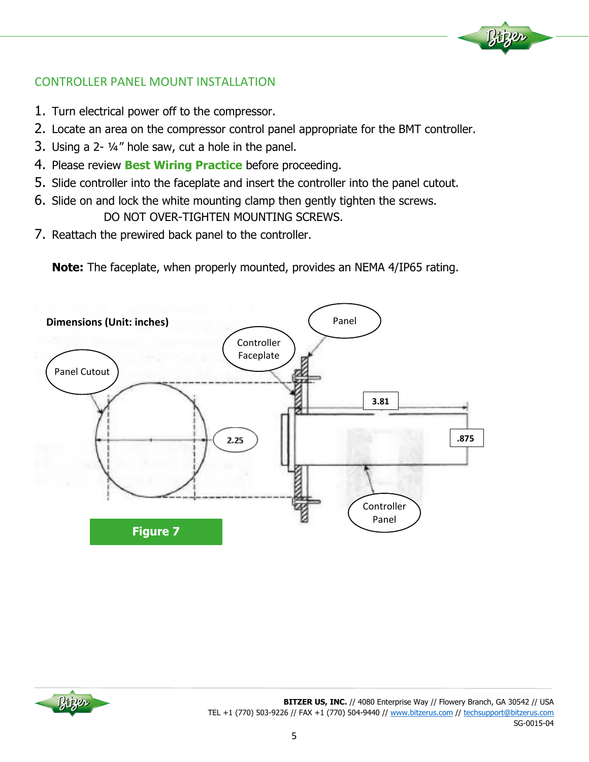# CONTROLLER PANEL MOUNT INSTALLATION

- 1. Turn electrical power off to the compressor.
- 2. Locate an area on the compressor control panel appropriate for the BMT controller.
- 3. Using a 2- ¼" hole saw, cut a hole in the panel.
- 4. Please review **Best Wiring Practice** before proceeding.
- 5. Slide controller into the faceplate and insert the controller into the panel cutout.
- 6. Slide on and lock the white mounting clamp then gently tighten the screws. DO NOT OVER-TIGHTEN MOUNTING SCREWS.
- 7. Reattach the prewired back panel to the controller.

**Note:** The faceplate, when properly mounted, provides an NEMA 4/IP65 rating.





**Liper**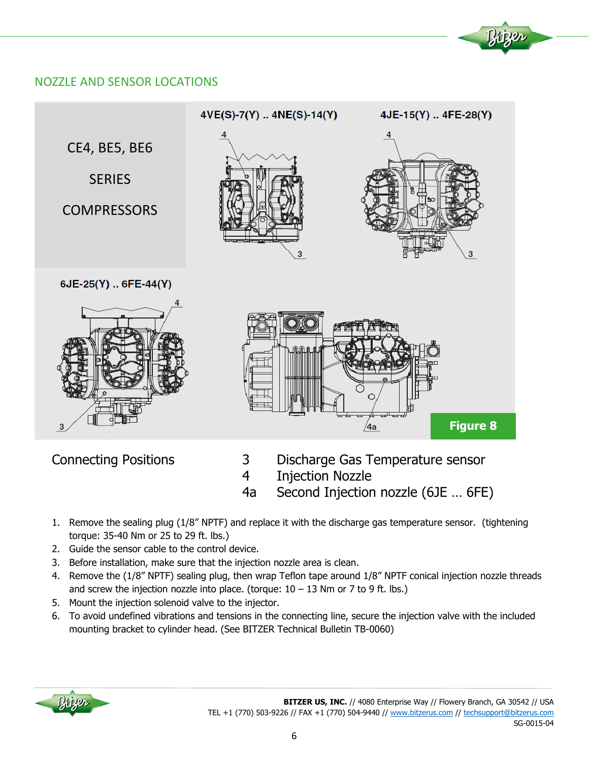# NOZZLE AND SENSOR LOCATIONS



- Connecting Positions 3 Discharge Gas Temperature sensor
	- 4 Injection Nozzle
	- 4a Second Injection nozzle (6JE … 6FE)
- 1. Remove the sealing plug (1/8" NPTF) and replace it with the discharge gas temperature sensor. (tightening torque: 35-40 Nm or 25 to 29 ft. lbs.)
- 2. Guide the sensor cable to the control device.
- 3. Before installation, make sure that the injection nozzle area is clean.
- 4. Remove the (1/8" NPTF) sealing plug, then wrap Teflon tape around 1/8" NPTF conical injection nozzle threads and screw the injection nozzle into place. (torque:  $10 - 13$  Nm or 7 to 9 ft. lbs.)
- 5. Mount the injection solenoid valve to the injector.
- 6. To avoid undefined vibrations and tensions in the connecting line, secure the injection valve with the included mounting bracket to cylinder head. (See BITZER Technical Bulletin TB-0060)

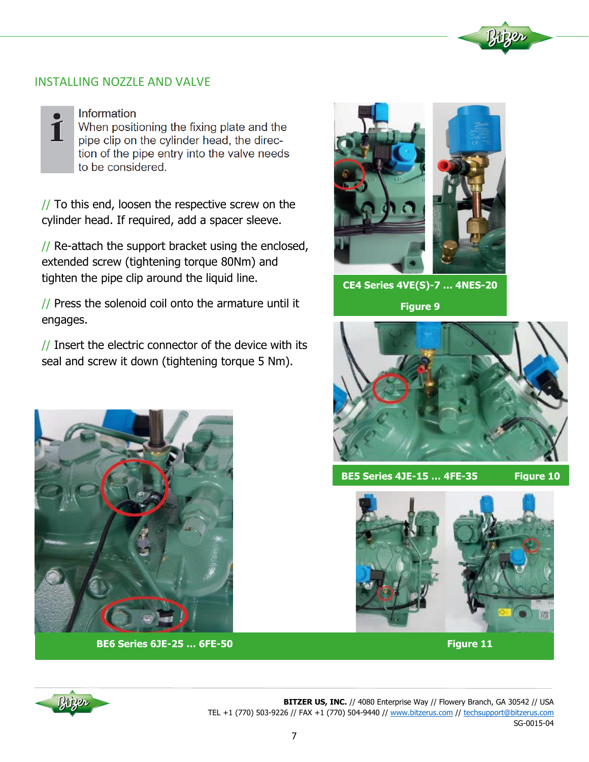## INSTALLING NOZZLE AND VALVE



Information

When positioning the fixing plate and the pipe clip on the cylinder head, the direction of the pipe entry into the valve needs to be considered.

 $\frac{1}{2}$  To this end, loosen the respective screw on the cylinder head. If required, add a spacer sleeve.

 $\frac{1}{2}$  Re-attach the support bracket using the enclosed, extended screw (tightening torque 80Nm) and tighten the pipe clip around the liquid line.

// Press the solenoid coil onto the armature until it engages.

// Insert the electric connector of the device with its seal and screw it down (tightening torque 5 Nm).



**CE4 Series 4VE(S)-7 … 4NES-20 Figure 9**



**BE5 Series 4JE-15 … 4FE-35 Figure 10**





**BE6 Series 6JE-25 ... 6FE-50 <b>Figure 11** Figure 11



**BITZER US, INC.** // 4080 Enterprise Way // Flowery Branch, GA 30542 // USA TEL +1 (770) 503-9226 // FAX +1 (770) 504-9440 // [www.bitzerus.com](http://www.bitzerus.com/) // [techsupport@bitzerus.com](mailto:techsupport@bitzerus.com) SG-0015-04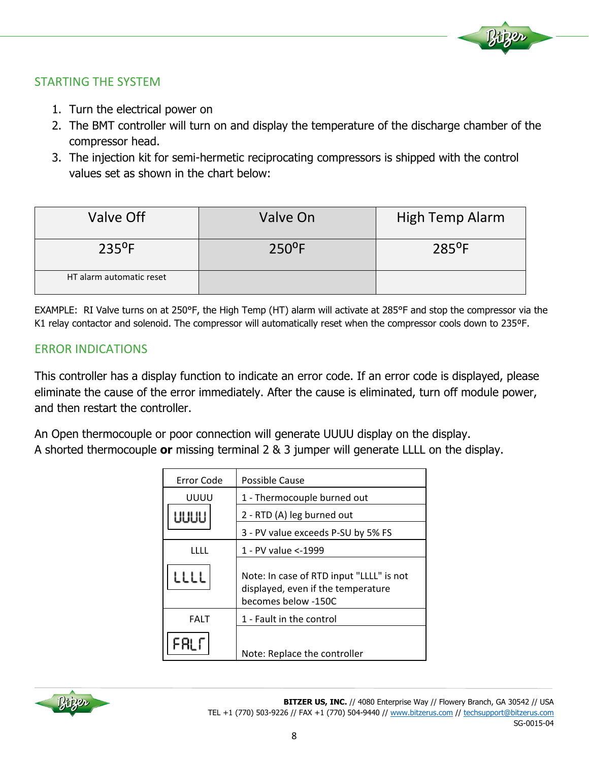

# STARTING THE SYSTEM

- 1. Turn the electrical power on
- 2. The BMT controller will turn on and display the temperature of the discharge chamber of the compressor head.
- 3. The injection kit for semi-hermetic reciprocating compressors is shipped with the control values set as shown in the chart below:

| Valve Off                | Valve On        | High Temp Alarm |
|--------------------------|-----------------|-----------------|
| $235^{\circ}F$           | $250^{\circ}$ F | $285^{\circ}F$  |
| HT alarm automatic reset |                 |                 |

EXAMPLE: RI Valve turns on at 250°F, the High Temp (HT) alarm will activate at 285°F and stop the compressor via the K1 relay contactor and solenoid. The compressor will automatically reset when the compressor cools down to 235ºF.

## ERROR INDICATIONS

This controller has a display function to indicate an error code. If an error code is displayed, please eliminate the cause of the error immediately. After the cause is eliminated, turn off module power, and then restart the controller.

An Open thermocouple or poor connection will generate UUUU display on the display. A shorted thermocouple **or** missing terminal 2 & 3 jumper will generate LLLL on the display.

| Error Code  | Possible Cause                                                                                        |
|-------------|-------------------------------------------------------------------------------------------------------|
| UUUU        | 1 - Thermocouple burned out                                                                           |
| UUUU        | 2 - RTD (A) leg burned out                                                                            |
|             | 3 - PV value exceeds P-SU by 5% FS                                                                    |
| TITE        | 1 - PV value <-1999                                                                                   |
| LLLL        | Note: In case of RTD input "LLLL" is not<br>displayed, even if the temperature<br>becomes below -150C |
| <b>FALT</b> | 1 - Fault in the control                                                                              |
|             | Note: Replace the controller                                                                          |

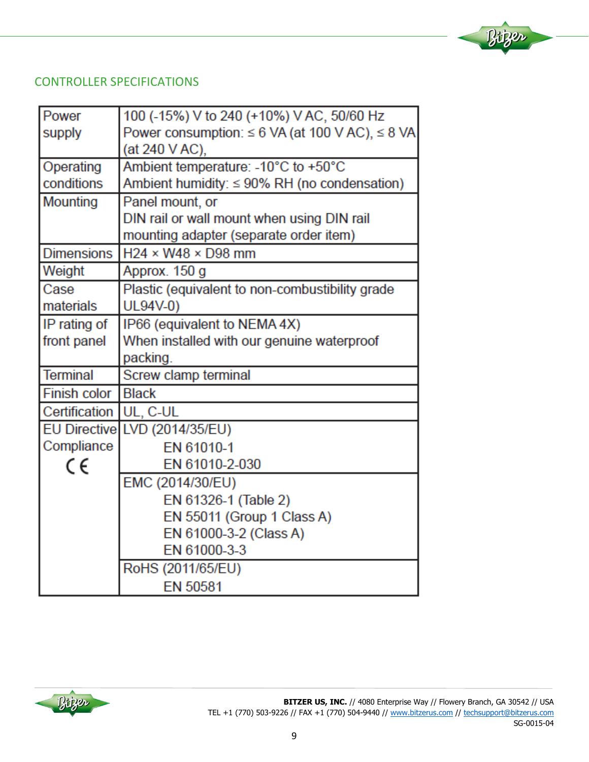# CONTROLLER SPECIFICATIONS

| Power                    | 100 (-15%) V to 240 (+10%) V AC, 50/60 Hz                 |
|--------------------------|-----------------------------------------------------------|
| supply                   | Power consumption: $\leq 6$ VA (at 100 V AC), $\leq 8$ VA |
|                          | (at 240 V AC),                                            |
| Operating                | Ambient temperature: - 10°C to +50°C                      |
| conditions               | Ambient humidity: $\leq 90\%$ RH (no condensation)        |
| Mounting                 | Panel mount, or                                           |
|                          | DIN rail or wall mount when using DIN rail                |
|                          | mounting adapter (separate order item)                    |
| <b>Dimensions</b>        | $H24 \times W48 \times D98$ mm                            |
| Weight                   | Approx. 150 g                                             |
| Case                     | Plastic (equivalent to non-combustibility grade           |
| materials                | UL94V-0)                                                  |
| IP rating of             | IP66 (equivalent to NEMA 4X)                              |
| front panel              | When installed with our genuine waterproof                |
|                          | packing.                                                  |
| <b>Terminal</b>          | Screw clamp terminal                                      |
| Finish color             | <b>Black</b>                                              |
| Certification   UL, C-UL |                                                           |
|                          | EU Directive LVD (2014/35/EU)                             |
| Compliance               | EN 61010-1                                                |
| CE                       | EN 61010-2-030                                            |
|                          | EMC (2014/30/EU)                                          |
|                          | EN 61326-1 (Table 2)                                      |
|                          | EN 55011 (Group 1 Class A)                                |
|                          | EN 61000-3-2 (Class A)                                    |
|                          | EN 61000-3-3                                              |
|                          | RoHS (2011/65/EU)                                         |
|                          | EN 50581                                                  |